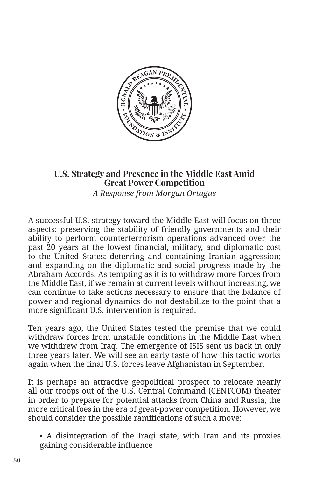

**U.S. Strategy and Presence in the Middle East Amid Great Power Competition** 

*A Response from Morgan Ortagus*

A successful U.S. strategy toward the Middle East will focus on three aspects: preserving the stability of friendly governments and their ability to perform counterterrorism operations advanced over the past 20 years at the lowest financial, military, and diplomatic cost to the United States; deterring and containing Iranian aggression; and expanding on the diplomatic and social progress made by the Abraham Accords. As tempting as it is to withdraw more forces from the Middle East, if we remain at current levels without increasing, we can continue to take actions necessary to ensure that the balance of power and regional dynamics do not destabilize to the point that a more significant U.S. intervention is required.

Ten years ago, the United States tested the premise that we could withdraw forces from unstable conditions in the Middle East when we withdrew from Iraq. The emergence of ISIS sent us back in only three years later. We will see an early taste of how this tactic works again when the final U.S. forces leave Afghanistan in September.

It is perhaps an attractive geopolitical prospect to relocate nearly all our troops out of the U.S. Central Command (CENTCOM) theater in order to prepare for potential attacks from China and Russia, the more critical foes in the era of great-power competition. However, we should consider the possible ramifications of such a move:

• A disintegration of the Iraqi state, with Iran and its proxies gaining considerable influence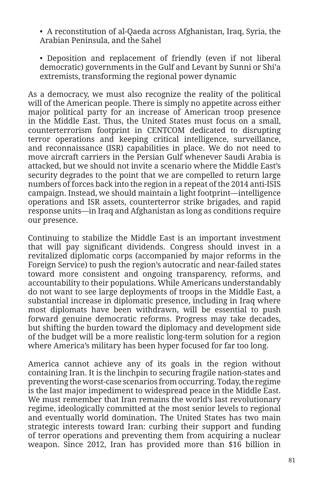• A reconstitution of al-Qaeda across Afghanistan, Iraq, Syria, the Arabian Peninsula, and the Sahel

• Deposition and replacement of friendly (even if not liberal democratic) governments in the Gulf and Levant by Sunni or Shi'a extremists, transforming the regional power dynamic

As a democracy, we must also recognize the reality of the political will of the American people. There is simply no appetite across either major political party for an increase of American troop presence in the Middle East. Thus, the United States must focus on a small, counterterrorism footprint in CENTCOM dedicated to disrupting terror operations and keeping critical intelligence, surveillance, and reconnaissance (ISR) capabilities in place. We do not need to move aircraft carriers in the Persian Gulf whenever Saudi Arabia is attacked, but we should not invite a scenario where the Middle East's security degrades to the point that we are compelled to return large numbers of forces back into the region in a repeat of the 2014 anti-ISIS campaign. Instead, we should maintain a light footprint—intelligence operations and ISR assets, counterterror strike brigades, and rapid response units—in Iraq and Afghanistan as long as conditions require our presence.

Continuing to stabilize the Middle East is an important investment that will pay significant dividends. Congress should invest in a revitalized diplomatic corps (accompanied by major reforms in the Foreign Service) to push the region's autocratic and near-failed states toward more consistent and ongoing transparency, reforms, and accountability to their populations. While Americans understandably do not want to see large deployments of troops in the Middle East, a substantial increase in diplomatic presence, including in Iraq where most diplomats have been withdrawn, will be essential to push forward genuine democratic reforms. Progress may take decades, but shifting the burden toward the diplomacy and development side of the budget will be a more realistic long-term solution for a region where America's military has been hyper focused for far too long.

America cannot achieve any of its goals in the region without containing Iran. It is the linchpin to securing fragile nation-states and preventing the worst-case scenarios from occurring. Today, the regime is the last major impediment to widespread peace in the Middle East. We must remember that Iran remains the world's last revolutionary regime, ideologically committed at the most senior levels to regional and eventually world domination. The United States has two main strategic interests toward Iran: curbing their support and funding of terror operations and preventing them from acquiring a nuclear weapon. Since 2012, Iran has provided more than \$16 billion in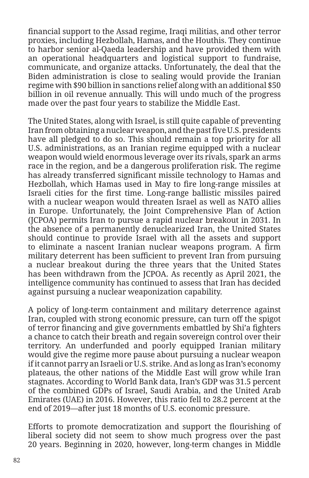financial support to the Assad regime, Iraqi militias, and other terror proxies, including Hezbollah, Hamas, and the Houthis. They continue to harbor senior al-Qaeda leadership and have provided them with an operational headquarters and logistical support to fundraise, communicate, and organize attacks. Unfortunately, the deal that the Biden administration is close to sealing would provide the Iranian regime with \$90 billion in sanctions relief along with an additional \$50 billion in oil revenue annually. This will undo much of the progress made over the past four years to stabilize the Middle East.

The United States, along with Israel, is still quite capable of preventing Iran from obtaining a nuclear weapon, and the past five U.S. presidents have all pledged to do so. This should remain a top priority for all U.S. administrations, as an Iranian regime equipped with a nuclear weapon would wield enormous leverage over its rivals, spark an arms race in the region, and be a dangerous proliferation risk. The regime has already transferred significant missile technology to Hamas and Hezbollah, which Hamas used in May to fire long-range missiles at Israeli cities for the first time. Long-range ballistic missiles paired with a nuclear weapon would threaten Israel as well as NATO allies in Europe. Unfortunately, the Joint Comprehensive Plan of Action (JCPOA) permits Iran to pursue a rapid nuclear breakout in 2031. In the absence of a permanently denuclearized Iran, the United States should continue to provide Israel with all the assets and support to eliminate a nascent Iranian nuclear weapons program. A firm military deterrent has been sufficient to prevent Iran from pursuing a nuclear breakout during the three years that the United States has been withdrawn from the JCPOA. As recently as April 2021, the intelligence community has continued to assess that Iran has decided against pursuing a nuclear weaponization capability.

A policy of long-term containment and military deterrence against Iran, coupled with strong economic pressure, can turn off the spigot of terror financing and give governments embattled by Shi'a fighters a chance to catch their breath and regain sovereign control over their territory. An underfunded and poorly equipped Iranian military would give the regime more pause about pursuing a nuclear weapon if it cannot parry an Israeli or U.S. strike. And as long as Iran's economy plateaus, the other nations of the Middle East will grow while Iran stagnates. According to World Bank data, Iran's GDP was 31.5 percent of the combined GDPs of Israel, Saudi Arabia, and the United Arab Emirates (UAE) in 2016. However, this ratio fell to 28.2 percent at the end of 2019—after just 18 months of U.S. economic pressure.

Efforts to promote democratization and support the flourishing of liberal society did not seem to show much progress over the past 20 years. Beginning in 2020, however, long-term changes in Middle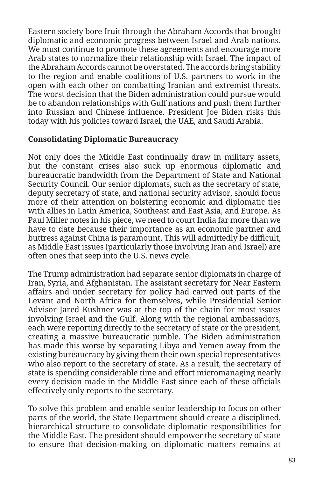Eastern society bore fruit through the Abraham Accords that brought diplomatic and economic progress between Israel and Arab nations. We must continue to promote these agreements and encourage more Arab states to normalize their relationship with Israel. The impact of the Abraham Accords cannot be overstated. The accords bring stability to the region and enable coalitions of U.S. partners to work in the open with each other on combatting Iranian and extremist threats. The worst decision that the Biden administration could pursue would be to abandon relationships with Gulf nations and push them further into Russian and Chinese influence. President Joe Biden risks this today with his policies toward Israel, the UAE, and Saudi Arabia.

## **Consolidating Diplomatic Bureaucracy**

Not only does the Middle East continually draw in military assets, but the constant crises also suck up enormous diplomatic and bureaucratic bandwidth from the Department of State and National Security Council. Our senior diplomats, such as the secretary of state, deputy secretary of state, and national security advisor, should focus more of their attention on bolstering economic and diplomatic ties with allies in Latin America, Southeast and East Asia, and Europe. As Paul Miller notes in his piece, we need to court India far more than we have to date because their importance as an economic partner and buttress against China is paramount. This will admittedly be difficult, as Middle East issues (particularly those involving Iran and Israel) are often ones that seep into the U.S. news cycle.

The Trump administration had separate senior diplomats in charge of Iran, Syria, and Afghanistan. The assistant secretary for Near Eastern affairs and under secretary for policy had carved out parts of the Levant and North Africa for themselves, while Presidential Senior Advisor Jared Kushner was at the top of the chain for most issues involving Israel and the Gulf. Along with the regional ambassadors, each were reporting directly to the secretary of state or the president, creating a massive bureaucratic jumble. The Biden administration has made this worse by separating Libya and Yemen away from the existing bureaucracy by giving them their own special representatives who also report to the secretary of state. As a result, the secretary of state is spending considerable time and effort micromanaging nearly every decision made in the Middle East since each of these officials effectively only reports to the secretary.

To solve this problem and enable senior leadership to focus on other parts of the world, the State Department should create a disciplined, hierarchical structure to consolidate diplomatic responsibilities for the Middle East. The president should empower the secretary of state to ensure that decision-making on diplomatic matters remains at